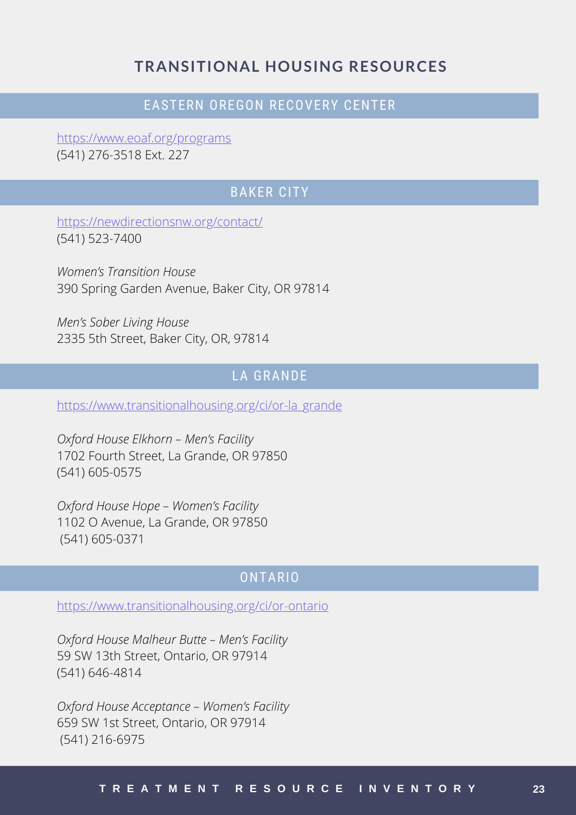### **TRANSITIONAL HOUSING RESOURCES**

#### EASTERN OREGON RECOVERY CENTER

[https://www.eoaf.org/programs](https://www.lung.org/) (541) [276-3518](https://www.lung.org/) Ext. 227

#### BAKER CITY

<https://newdirectionsnw.org/contact/> (541) 523-7400

*Women's Transition House* 390 Spring Garden Avenue, Baker City, OR 97814

*Men's Sober Living House* 2335 5th Street, Baker City, OR, 97814

### LA GRANDE

[https://www.transitionalhousing.org/ci/or-la\\_grande](https://www.smokefree.gov/)

*Oxford House [Elkhorn](https://www.smokefree.gov/) – Men's Facility* 1702 Fourth Street, La [Grande,](https://www.smokefree.gov/) OR 97850 (541) [605-0](https://www.smokefree.gov/)575

*Oxford House Hope – [Women's](https://www.smokefree.gov/) Facility* 1102 O Avenue, La [Grande,](https://www.smokefree.gov/) OR 97850 (541) [605-0371](https://www.smokefree.gov/)

#### ONTARIO

<https://www.transitionalhousing.org/ci/or-ontario>

*Oxford House Malheur Butte – Men's Facility* 59 SW 13th Street, Ontario, OR 97914 (541) 646-4814

*Oxford House Acceptance – Women's Facility* 659 SW 1st Street, Ontario, OR 97914 (541) 216-6975